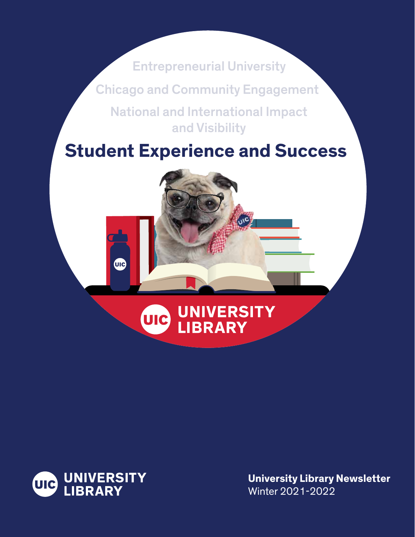Entrepreneurial University Chicago and Community Engagement National and International Impact and Visibility

# **Student Experience and Success**

# **AHA UNIVERSITY WE LIBRARY**



UIC

**University Library Newsletter**  Winter 2021-2022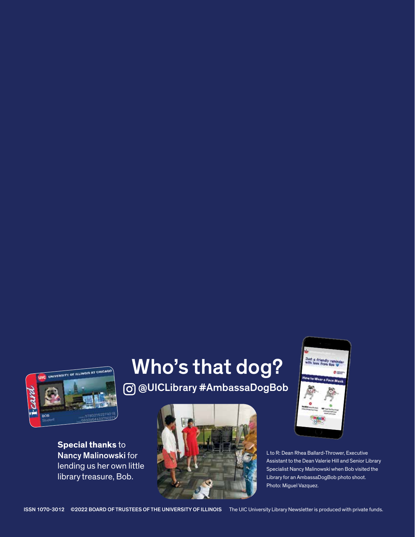**INIVERSITY OF ILLINOIS AT CHIC** 

**Special thanks** to

# Who's that dog? @UICLibrary #AmbassaDogBob



Just a fr

Assistant to the Dean Valerie Hill and Senior Library lending us her own little specialist Nancy Malinowski when Bob visited the library treasure, Bob.<br>Iibrary for an AmbassaDogBob photo shoot. Library for an AmbassaDogBob photo shoot. Photo: Miguel Vazquez.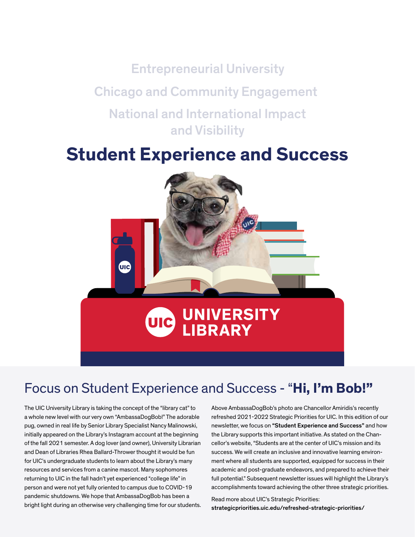Entrepreneurial University Chicago and Community Engagement National and International Impact and Visibility

# **Student Experience and Success**



# dent Experience and Success - "Hi, I Focus on Student Experience and Success - "**Hi, I'm Bob!"**

The UIC University Library is taking the concept of the "library cat" to a whole new level with our very own "AmbassaDogBob!" The adorable pug, owned in real life by Senior Library Specialist Nancy Malinowski, initially appeared on the Library's Instagram account at the beginning of the fall 2021 semester. A dog lover (and owner), University Librarian and Dean of Libraries Rhea Ballard-Thrower thought it would be fun for UIC's undergraduate students to learn about the Library's many resources and services from a canine mascot. Many sophomores returning to UIC in the fall hadn't yet experienced "college life" in person and were not yet fully oriented to campus due to COVID-19 pandemic shutdowns. We hope that AmbassaDogBob has been a bright light during an otherwise very challenging time for our students. Above AmbassaDogBob's photo are Chancellor Amiridis's recently refreshed 2021-2022 Strategic Priorities for UIC. In this edition of our newsletter, we focus on "Student Experience and Success" and how the Library supports this important initiative. As stated on the Chancellor's website, "Students are at the center of UIC's mission and its success. We will create an inclusive and innovative learning environment where all students are supported, equipped for success in their academic and post-graduate endeavors, and prepared to achieve their full potential." Subsequent newsletter issues will highlight the Library's accomplishments toward achieving the other three strategic priorities.

Read more about UIC's Strategic Priorities: [strategicpriorities.uic.edu/refreshed-strategic-priorities](https://strategicpriorities.uic.edu/refreshed-strategic-priorities)/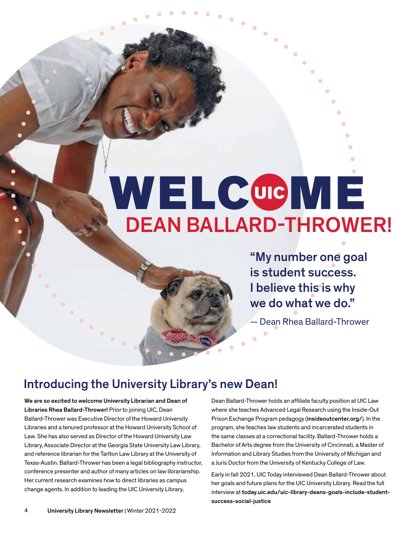### • • • • • • DEAN BALLARD-THROWER! WELCOME

• • • • • • • • • • • • • • •

• "My number one goal  $\bullet$ • is student success. I believe this is why • we do what we do."

•

• • • • • • • • • •

– Dean Rhea — Dean Rhea Ballard-Thrower

### Introducing the University Library's new Dean!

We are so excited to welcome University Librarian and Dean of Libraries Rhea Ballard-Thrower! Prior to joining UIC, Dean Ballard-Thrower was Executive Director of the Howard University Libraries and a tenured professor at the Howard University School of Law. She has also served as Director of the Howard University Law Library, Associate Director at the Georgia State University Law Library, and reference librarian for the Tarlton Law Library at the University of Texas-Austin. Ballard-Thrower has been a legal bibliography instructor, conference presenter and author of many articles on law librarianship. Her current research examines how to direct libraries as campus change agents. In addition to leading the UIC University Library,

Dean Ballard-Thrower holds an affliate faculty position at UIC Law where she teaches Advanced Legal Research using the Inside-Out Prison Exchange Program pedagogy ([insideoutcenter.org/](https://insideoutcenter.org)). In the program, she teaches law students and incarcerated students in the same classes at a correctional facility. Ballard-Thrower holds a Bachelor of Arts degree from the University of Cincinnati, a Master of Information and Library Studies from the University of Michigan and a Juris Doctor from the University of Kentucky College of Law.

Early in fall 2021, UIC Today interviewed Dean Ballard-Thrower about her goals and future plans for the UIC University Library. Read the full interview at [today.uic.edu/uic-library-deans-goals-include-student](https://today.uic.edu/uic-library-deans-goals-include-student)success-social-justice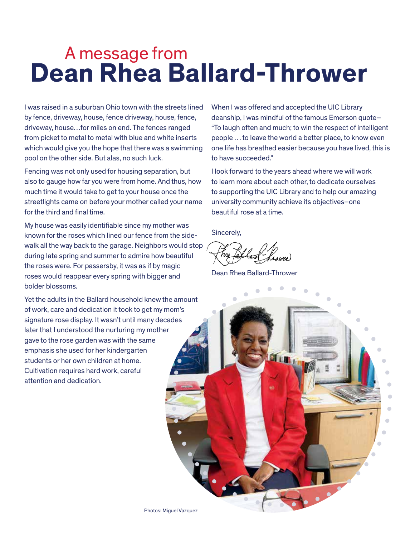# A message from **Dean Rhea Ballard-Thrower**

I was raised in a suburban Ohio town with the streets lined by fence, driveway, house, fence driveway, house, fence, driveway, house…for miles on end. The fences ranged from picket to metal to metal with blue and white inserts which would give you the hope that there was a swimming pool on the other side. But alas, no such luck.

Fencing was not only used for housing separation, but also to gauge how far you were from home. And thus, how much time it would take to get to your house once the streetlights came on before your mother called your name for the third and final time.

My house was easily identifable since my mother was known for the roses which lined our fence from the sidewalk all the way back to the garage. Neighbors would stop during late spring and summer to admire how beautiful the roses were. For passersby, it was as if by magic roses would reappear every spring with bigger and bolder blossoms.

Yet the adults in the Ballard household knew the amount of work, care and dedication it took to get my mom's signature rose display. It wasn't until many decades later that I understood the nurturing my mother gave to the rose garden was with the same emphasis she used for her kindergarten students or her own children at home. Cultivation requires hard work, careful attention and dedication.

When I was offered and accepted the UIC Library deanship, I was mindful of the famous Emerson quote– "To laugh often and much; to win the respect of intelligent people … to leave the world a better place, to know even one life has breathed easier because you have lived, this is to have succeeded."

I look forward to the years ahead where we will work to learn more about each other, to dedicate ourselves to supporting the UIC Library and to help our amazing university community achieve its objectives–one beautiful rose at a time.

Sincerely,

Dean Rhea Ballard-Thrower

• • • • • • • • • •<br>• • • • • • • **OLLEL** • • • •

Photos: Miguel Vazquez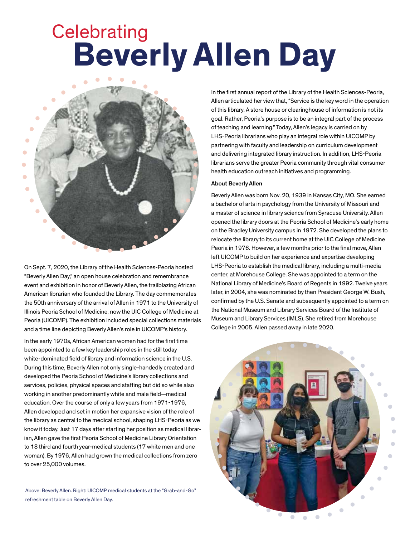# **Celebrating Beverly Allen Day**



On Sept. 7, 2020, the Library of the Health Sciences-Peoria hosted "Beverly Allen Day," an open house celebration and remembrance event and exhibition in honor of Beverly Allen, the trailblazing African American librarian who founded the Library. The day commemorates the 50th anniversary of the arrival of Allen in 1971 to the University of Illinois Peoria School of Medicine, now the UIC College of Medicine at Peoria (UICOMP). The exhibition included special collections materials and a time line depicting Beverly Allen's role in UICOMP's history.

 Allen developed and set in motion her expansive vision of the role of In the early 1970s, African American women had for the frst time been appointed to a few key leadership roles in the still today white-dominated field of library and information science in the U.S. During this time, Beverly Allen not only single-handedly created and developed the Peoria School of Medicine's library collections and services, policies, physical spaces and staffing but did so while also working in another predominantly white and male field—medical education. Over the course of only a few years from 1971-1976, the library as central to the medical school, shaping LHS-Peoria as we know it today. Just 17 days after starting her position as medical librarian, Allen gave the first Peoria School of Medicine Library Orientation to 18 third and fourth year-medical students (17 white men and one woman). By 1976, Allen had grown the medical collections from zero to over 25,000 volumes.

Above: Beverly Allen. Right: UICOMP medical students at the "Grab-and-Go" refreshment table on Beverly Allen Day.

In the first annual report of the Library of the Health Sciences-Peoria, Allen articulated her view that, "Service is the key word in the operation of this library. A store house or clearinghouse of information is not its goal. Rather, Peoria's purpose is to be an integral part of the process of teaching and learning." Today, Allen's legacy is carried on by LHS-Peoria librarians who play an integral role within UICOMP by partnering with faculty and leadership on curriculum development and delivering integrated library instruction. In addition, LHS-Peoria librarians serve the greater Peoria community through vital consumer health education outreach initiatives and programming.

### About Beverly Allen

Beverly Allen was born Nov. 20, 1939 in Kansas City, MO. She earned a bachelor of arts in psychology from the University of Missouri and a master of science in library science from Syracuse University. Allen opened the library doors at the Peoria School of Medicine's early home on the Bradley University campus in 1972. She developed the plans to relocate the library to its current home at the UIC College of Medicine Peoria in 1976. However, a few months prior to the final move, Allen left UICOMP to build on her experience and expertise developing LHS-Peoria to establish the medical library, including a multi-media center, at Morehouse College. She was appointed to a term on the National Library of Medicine's Board of Regents in 1992. Twelve years later, in 2004, she was nominated by then President George W. Bush, confrmed by the U.S. Senate and subsequently appointed to a term on the National Museum and Library Services Board of the Institute of Museum and Library Services (IMLS). She retired from Morehouse College in 2005. Allen passed away in late 2020.

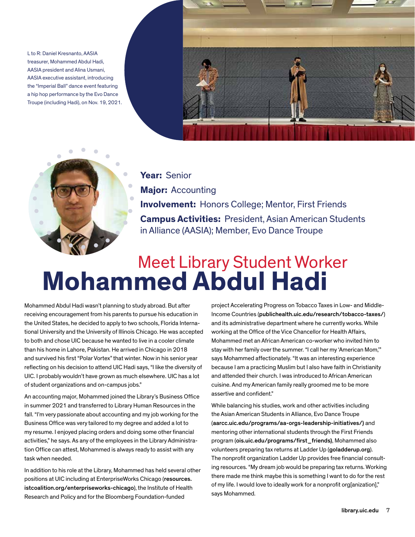Lto R: Daniel Kresnanto, AASIA treasurer, Mohammed Abdul Hadi, AASIA president and Alina Usmani, AASIA executive assistant, introducing the "Imperial Ball" dance event featuring a hip hop performance by the Evo Dance Troupe (including Hadi), on Nov. 19, 2021.





**Year:** Senior **Major:** Accounting **Involvement:** Honors College; Mentor, First Friends **Campus Activities:** President, Asian American Students in Alliance (AASIA); Member, Evo Dance Troupe

# Meet Library Student Worker **Mohammed Abdul Hadi**

and survived his first "Polar Vortex" that winter. Now in his senior year Mohammed Abdul Hadi wasn't planning to study abroad. But after receiving encouragement from his parents to pursue his education in the United States, he decided to apply to two schools, Florida International University and the University of Illinois Chicago. He was accepted to both and chose UIC because he wanted to live in a cooler climate than his home in Lahore, Pakistan. He arrived in Chicago in 2018 refecting on his decision to attend UIC Hadi says, "I like the diversity of UIC. I probably wouldn't have grown as much elsewhere. UIC has a lot of student organizations and on-campus jobs."

An accounting major, Mohammed joined the Library's Business Office in summer 2021 and transferred to Library Human Resources in the fall. "I'm very passionate about accounting and my job working for the Business Office was very tailored to my degree and added a lot to my resume. I enjoyed placing orders and doing some other fnancial activities," he says. As any of the employees in the Library Administration Office can attest, Mohammed is always ready to assist with any task when needed.

In addition to his role at the Library, Mohammed has held several other positions at UIC including at EnterpriseWorks Chicago (resources. [istcoalition.org/enterpriseworks-chicago](https://istcoalition.org/enterpriseworks-chicago)), the Institute of Health Research and Policy and for the Bloomberg Foundation-funded

j project Accelerating Progress on Tobacco Taxes in Low- and Middle-Income Countries ([publichealth.uic.edu/research/tobacco-taxes/](https://publichealth.uic.edu/research/tobacco-taxes)) and its administrative department where he currently works. While working at the Office of the Vice Chancellor for Health Affairs, Mohammed met an African American co-worker who invited him to stay with her family over the summer. "I call her my 'American Mom,'" says Mohammed affectionately. "It was an interesting experience because I am a practicing Muslim but I also have faith in Christianity and attended their church. I was introduced to African American cuisine. And my American family really groomed me to be more assertive and confident."

While balancing his studies, work and other activities including the Asian American Students in Alliance, Evo Dance Troupe ([aarcc.uic.edu/programs/aa-orgs-leadership-initiatives](https://aarcc.uic.edu/programs/aa-orgs-leadership-initiatives)/) and mentoring other international students through the First Friends program (ois.uic.edu/programs/first\_friends), Mohammed also volunteers preparing tax returns at Ladder Up ([goladderup.org](https://goladderup.org)). The nonprofit organization Ladder Up provides free financial consulting resources. "My dream job would be preparing tax returns. Working there made me think maybe this is something I want to do for the rest of my life. I would love to ideally work for a nonprofit org[anization]," says Mohammed.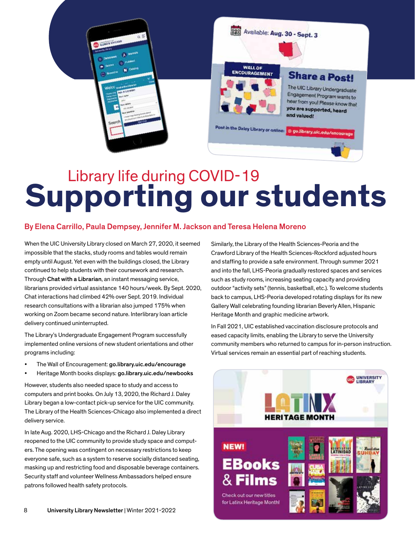

# Library life during COVID-19 **Supporting our students**

### By Elena Carrillo, Paula Dempsey, Jennifer M. Jackson and Teresa Helena Moreno

When the UIC University Library closed on March 27, 2020, it seemed impossible that the stacks, study rooms and tables would remain empty until August. Yet even with the buildings closed, the Library continued to help students with their coursework and research. Through Chat with a Librarian, an instant messaging service, librarians provided virtual assistance 140 hours/week. By Sept. 2020, Chat interactions had climbed 42% over Sept. 2019. Individual research consultations with a librarian also jumped 175% when working on Zoom became second nature. Interlibrary loan article delivery continued uninterrupted.

The Library's Undergraduate Engagement Program successfully implemented online versions of new student orientations and other programs including:

- The Wall of Encouragement: [go.library.uic.edu/encourage](https://go.library.uic.edu/encourage)
- Heritage Month books displays: [go.library.uic.edu/newbooks](https://go.library.uic.edu/newbooks)

However, students also needed space to study and access to computers and print books. On July 13, 2020, the Richard J. Daley Library began a low-contact pick-up service for the UIC community. The Library of the Health Sciences-Chicago also implemented a direct delivery service.

 $\overline{a}$ In late Aug. 2020, LHS-Chicago and the Richard J. Daley Library reopened to the UIC community to provide study space and computers. The opening was contingent on necessary restrictions to keep everyone safe, such as a system to reserve socially distanced seating, masking up and restricting food and disposable beverage containers. Security staff and volunteer Wellness Ambassadors helped ensure patrons followed health safety protocols.

Similarly, the Library of the Health Sciences-Peoria and the Crawford Library of the Health Sciences-Rockford adjusted hours and staffing to provide a safe environment. Through summer 2021 and into the fall, LHS-Peoria gradually restored spaces and services such as study rooms, increasing seating capacity and providing outdoor "activity sets" (tennis, basketball, etc.). To welcome students back to campus, LHS-Peoria developed rotating displays for its new Gallery Wall celebrating founding librarian Beverly Allen, Hispanic Heritage Month and graphic medicine artwork.

In Fall 2021, UIC established vaccination disclosure protocols and eased capacity limits, enabling the Library to serve the University community members who returned to campus for in-person instruction. Virtual services remain an essential part of reaching students.

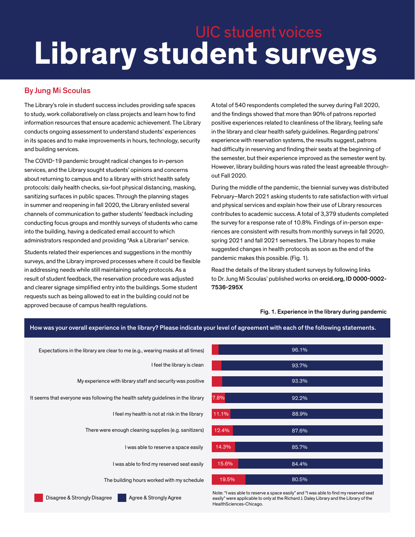# **Library student surveys**  UIC student voices

How was your overall experience in the library? Please indicate your level of agreement with each of the following statements.

### By Jung Mi Scoulas

The Library's role in student success includes providing safe spaces to study, work collaboratively on class projects and learn how to find information resources that ensure academic achievement. The Library conducts ongoing assessment to understand students' experiences in its spaces and to make improvements in hours, technology, security and building services.

The COVID-19 pandemic brought radical changes to in-person services, and the Library sought students' opinions and concerns about returning to campus and to a library with strict health safety protocols: daily health checks, six-foot physical distancing, masking, sanitizing surfaces in public spaces. Through the planning stages in summer and reopening in fall 2020, the Library enlisted several channels of communication to gather students' feedback including conducting focus groups and monthly surveys of students who came into the building, having a dedicated email account to which administrators responded and providing "Ask a Librarian" service.

Students related their experiences and suggestions in the monthly surveys, and the Library improved processes where it could be fexible in addressing needs while still maintaining safety protocols. As a result of student feedback, the reservation procedure was adjusted and clearer signage simplified entry into the buildings. Some student requests such as being allowed to eat in the building could not be approved because of campus health regulations.

A total of 540 respondents completed the survey during Fall 2020, and the findings showed that more than 90% of patrons reported positive experiences related to cleanliness of the library, feeling safe in the library and clear health safety guidelines. Regarding patrons' experience with reservation systems, the results suggest, patrons had difficulty in reserving and finding their seats at the beginning of the semester, but their experience improved as the semester went by. However, library building hours was rated the least agreeable throughout Fall 2020.

During the middle of the pandemic, the biennial survey was distributed February–March 2021 asking students to rate satisfaction with virtual and physical services and explain how their use of Library resources contributes to academic success. A total of 3,379 students completed the survey for a response rate of 10.8%. Findings of in-person experiences are consistent with results from monthly surveys in fall 2020, spring 2021 and fall 2021 semesters. The Library hopes to make suggested changes in health protocols as soon as the end of the pandemic makes this possible. (Fig. 1).

Read the details of the library student surveys by following links to Dr. Jung Mi Scoulas' published works on [orcid.org,](https://orcid.org) ID 0000-0002- 7536-295X

### Fig. 1. Experience in the library during pandemic





Note: "I was able to reserve a space easily" and "I was able to find my reserved seat easily" were applicable to only at the Richard J. Daley Library and the Library of the HealthSciences-Chicago.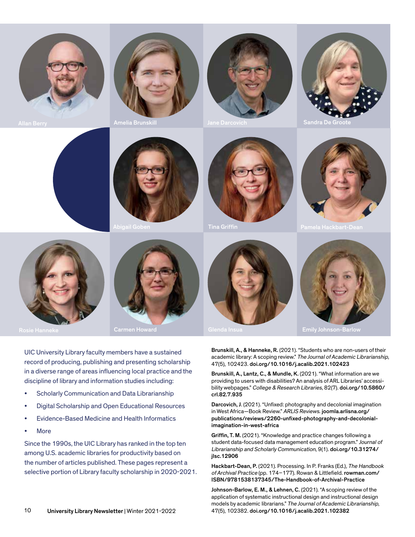







Sandra De Groo









UIC University Library faculty members have a sustained record of producing, publishing and presenting scholarship in a diverse range of areas infuencing local practice and the discipline of library and information studies including:

- Scholarly Communication and Data Librarianship
- Digital Scholarship and Open Educational Resources
- Evidence-Based Medicine and Health Informatics
- More

Since the 1990s, the UIC Library has ranked in the top ten among U.S. academic libraries for productivity based on the number of articles published. These pages represent a selective portion of Library faculty scholarship in 2020-2021.





 Brunskill, A., & Hanneke, R. (2021). "Students who are non-users of their academic library: A scoping review." The Journal of Academic Librarianship, 47(5), 102423. [doi.org/10.1016/j.acalib.2021.102423](https://doi.org/10.1016/j.acalib.2021.102423) 

Brunskill, A., Lantz, C., & Mundle, K. (2021). "What information are we providing to users with disabilities? An analysis of ARL Libraries' accessibility webpages." College & Research Libraries, 82(7). [doi.org/10.5860/](https://doi.org/10.5860) crl.82.7.935

Darcovich, J. (2021). "Unfixed: photography and decolonial imagination in West Africa—Book Review." ARLIS Reviews. [joomla.arlisna.org](https://joomla.arlisna.org)/ publications/reviews/2260-unfxed-photography-and-decolonialimagination-in-west-africa

student data-focused data management education program." Journal of Griffin, T. M. (2021). "Knowledge and practice changes following a Librarianship and Scholarly Communication, 9(1). [doi.org/10.31274/](https://doi.org/10.31274) jlsc.12906

Hackbart-Dean, P. (2021). Processing. In P. Franks (Ed.), The Handbook of Archival Practice (pp. 174-177). Rowan & Littlefield. [rowman.com/](https://rowman.com) ISBN/9781538137345/The-Handbook-of-Archival-Practice

 Johnson-Barlow, E. M., & Lehnen, C. (2021). "A scoping review of the application of systematic instructional design and instructional design models by academic librarians." The Journal of Academic Librarianship, 47(5), 102382. [doi.org/10.1016/j.acalib.2021.102382](https://doi.org/10.1016/j.acalib.2021.102382)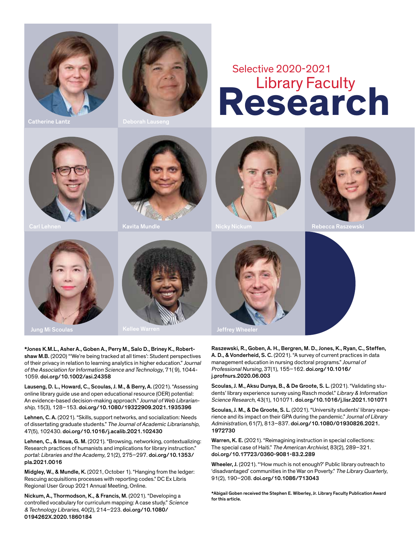



Catherine Lantz Deborah Lauseng

# **Research** Library Faculty Selective 2020-2021













\*Jones K.M.L., Asher A., Goben A., Perry M., Salo D., Briney K., Robertshaw M.B. (2020) "'We're being tracked at all times': Student perspectives of their privacy in relation to learning analytics in higher education." Journal of the Association for Information Science and Technology, 71( 9), 1044- 1059. [doi.org/10.1002/asi.24358](https://doi.org/10.1002/asi.24358) 

Lauseng, D. L., Howard, C., Scoulas, J. M., & Berry, A. (2021). "Assessing online library guide use and open educational resource (OER) potential: An evidence-based decision-making approach." Journal of Web Librarianship, 15(3), 128–153. [doi.org/10.1080/19322909.2021.1935396](https://doi.org/10.1080/19322909.2021.1935396)

Lehnen, C. A. (2021). "Skills, support networks, and socialization: Needs of dissertating graduate students." The Journal of Academic Librarianship, 47(5), 102430. [doi.org/10.1016/j.acalib.2021.102430](https://doi.org/10.1016/j.acalib.2021.102430) 

Lehnen, C., & Insua, G. M. (2021). "Browsing, networking, contextualizing: Research practices of humanists and implications for library instruction." portal: Libraries and the Academy, 21(2), 275–297. [doi.org/10.1353](https://doi.org/10.1353)/ pla.2021.0016

Midgley, W., & Mundle, K. (2021, October 1). "Hanging from the ledger: Rescuing acquisitions processes with reporting codes." DC Ex Libris Regional User Group 2021 Annual Meeting, Online.

Nickum, A., Thormodson, K., & Francis, M. (2021). "Developing a controlled vocabulary for curriculum mapping: A case study." Science & Technology Libraries, 40(2), 214–223. [doi.org/10.1080/](https://doi.org/10.1080) 0194262X.2020.1860184



management education in nursing doctoral programs." Journal of Raszewski, R., Goben, A. H., Bergren, M. D., Jones, K., Ryan, C., Steffen, A. D., & Vonderheid, S. C. (2021). "A survey of current practices in data Professional Nursing, 37(1), 155–162. [doi.org/10.1016/](https://doi.org/10.1016) j.profnurs.2020.06.003

Scoulas, J. M., Aksu Dunya, B., & De Groote, S. L. (2021). "Validating students' library experience survey using Rasch model." Library & Information Science Research, 43(1), 101071. [doi.org/10.1016/j.lisr.2021.101071](https://doi.org/10.1016/j.lisr.2021.101071) 

Scoulas, J. M., & De Groote, S. L. (2021). "University students' library experience and its impact on their GPA during the pandemic." Journal of Library Administration, 61(7), 813–837. [doi.org/10.1080/01930826.2021](https://doi.org/10.1080/01930826.2021). 1972730

Warren, K. E. (2021). "Reimagining instruction in special collections: The special case of Haiti." The American Archivist, 83(2), 289–321. [doi.org/10.17723/0360-9081-83.2.289](https://doi.org/10.17723/0360-9081-83.2.289)

Wheeler, J. (2021). "How much is not enough?' Public library outreach to 'disadvantaged' communities in the War on Poverty." The Library Quarterly, 91(2), 190–208. [doi.org/10.1086/713043](https://doi.org/10.1086/713043) 

\*Abigail Goben received the Stephen E. Wiberley, Jr. Library Faculty Publication Award for this article.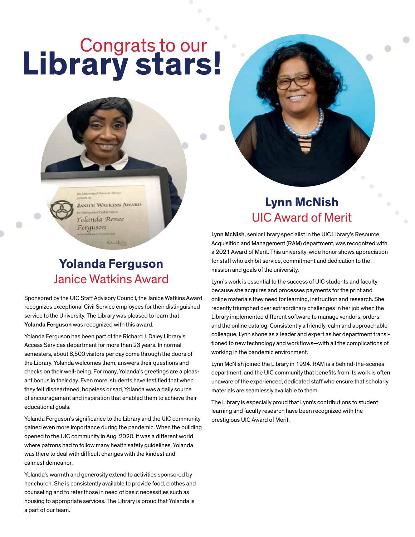# Congrats to our **Library stars!**

the Entersity of Him **JANICE WATKINS AWARD And Paul Service In** Yolanda Renee Ferguson

• • •

### **Yolanda Ferguson**  Janice Watkins Award

Gallega Li

Sponsored by the UIC Staff Advisory Council, the Janice Watkins Award recognizes exceptional Civil Service employees for their distinguished service to the University. The Library was pleased to learn that Yolanda Ferguson was recognized with this award.

Yolanda Ferguson has been part of the Richard J. Daley Library's Access Services department for more than 23 years. In normal semesters, about 8,500 visitors per day come through the doors of the Library. Yolanda welcomes them, answers their questions and checks on their well-being. For many, Yolanda's greetings are a pleasant bonus in their day. Even more, students have testifed that when they felt disheartened, hopeless or sad, Yolanda was a daily source of encouragement and inspiration that enabled them to achieve their educational goals.

Yolanda Ferguson's significance to the Library and the UIC community gained even more importance during the pandemic. When the building opened to the UIC community in Aug. 2020, it was a different world where patrons had to follow many health safety guidelines. Yolanda was there to deal with difficult changes with the kindest and calmest demeanor.

Yolanda's warmth and generosity extend to activities sponsored by her church. She is consistently available to provide food, clothes and counseling and to refer those in need of basic necessities such as housing to appropriate services. The Library is proud that Yolanda is a part of our team.

### **Lynn McNish**  UIC Award of Merit

• •

• •

Lynn McNish, senior library specialist in the UIC Library's Resource Acquisition and Management (RAM) department, was recognized with a 2021 Award of Merit. This university-wide honor shows appreciation for staff who exhibit service, commitment and dedication to the mission and goals of the university.

Lynn's work is essential to the success of UIC students and faculty because she acquires and processes payments for the print and online materials they need for learning, instruction and research. She recently triumphed over extraordinary challenges in her job when the Library implemented different software to manage vendors, orders and the online catalog. Consistently a friendly, calm and approachable colleague, Lynn shone as a leader and expert as her department transitioned to new technology and workflows-with all the complications of working in the pandemic environment.

Lynn McNish joined the Library in 1994. RAM is a behind-the-scenes department, and the UIC community that benefits from its work is often unaware of the experienced, dedicated staff who ensure that scholarly materials are seamlessly available to them.

The Library is especially proud that Lynn's contributions to student learning and faculty research have been recognized with the prestigious UIC Award of Merit.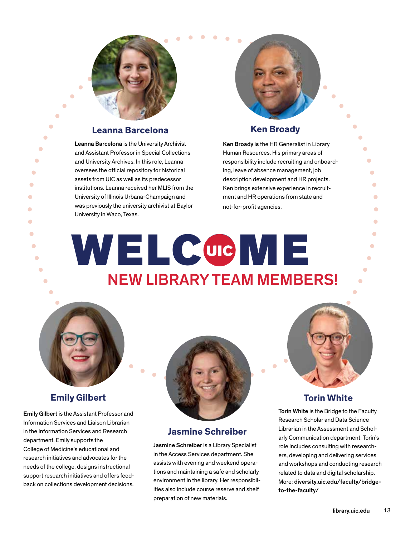

### **Example 8 Figure 2 Example 2 Figure 2 Figure 2 Figure 2 Figure 2 Figure 2 Figure 2 Figure 2 Figure 2 Figure 2 Figure 2 Figure 2 Figure 2 Figure 2 Figure 2 Figure 2 Figure 2 Figure 2 Figure 2 Figure 2 Figure 2 Figure 2 Fig**

and University Archives. In this role, Leanna responsibility include recruiting and onboard-<br>
expressed to official superifundational responsibility include recruiting and onboardoversees the official repository for historical ing, leave of absence management, job and the serve in the serv<br>assets from UIC as well as its predecessor and description development and HR projects. assets from UIC as well as its predecessor description development and HR projects. University of Illinois Urbana-Champaign and ment and HR operations from state and ment and HR operations from state and ment and HR operations from state and was previously the university archivist at Baylor root-for-profit agencies.<br>University in Waco, Texas. University in Waco, Texas. **1988** Leanna Barcelona is the University Archivist Ken Broady is the HR Generalist in Library<br>2011 and Assistant Professor in Special Collections Human Resources. His primary areas of end on the same state in the state in the state in the state in terminal control of the state in terminal of the University of Illinois Urbana-Champaign and state and the operations from state and state and state and state University in waco, rexas.<br>
Second the contract of the contract of the contract of the contract of the contract of the contract of the contract of the contract of the contract of the contract of the contract of the contrac

Leanna Barcelona is the University Archivist Ken Broady is the HR Generalist in Library • • Human Resources. His primary areas of Ken brings extensive experience in recruit-

### • WELCOME NEW LIBRARY TEAM MEMBERS! • • • •  $\blacksquare$ • • • •

• • •



### **Emily Gilbert**

Information Services and Liaison Librarian<br>Internation Services and December 10 non-line of the Scholar and Scholar Holland Scholar Internation Scholar In in the Information Services and Research **Jasmine Schreiber** Emily Communication department. Torin's department of the Information department. Torin's department. Emily supports the arty Communication department. Torin's<br>College of Medicine's educational and **Jasmine Schreiber** is a Library Specialist college of Medicine's educational and in the Access Services departmen



### **Jasmine Schreiber**

needs of the college, designs instructional assists with evening and weekend opera-<br>support research initiatives and offers feed-<br>back on collections development decisions. environment in the library. Her responsibil-<br>ties preparation of new materials.



### **Torin White**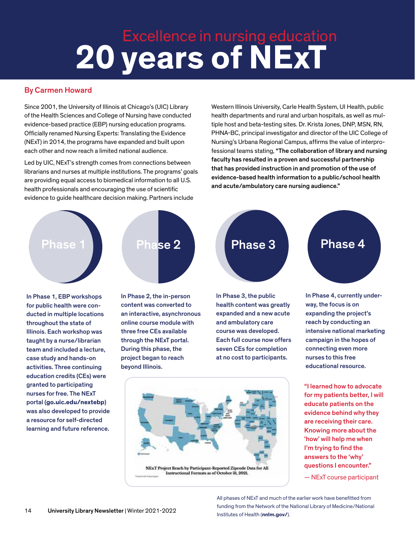# Excellence in nursing education **20 years of NExT**

### By Carmen Howard

Since 2001, the University of Illinois at Chicago's (UIC) Library of the Health Sciences and College of Nursing have conducted evidence-based practice (EBP) nursing education programs. Officially renamed Nursing Experts: Translating the Evidence (NExT) in 2014, the programs have expanded and built upon each other and now reach a limited national audience.  $\overline{a}$ 

Led by UIC, NExT's strength comes from connections between librarians and nurses at multiple institutions. The programs' goals are providing equal access to biomedical information to all U.S. health professionals and encouraging the use of scientific evidence to guide healthcare decision making. Partners include

Western Illinois University, Carle Health System, UI Health, public health departments and rural and urban hospitals, as well as multiple host and beta-testing sites. Dr. Krista Jones, DNP, MSN, RN, PHNA-BC, principal investigator and director of the UIC College of Nursing's Urbana Regional Campus, affrms the value of interprofessional teams stating, "The collaboration of library and nursing faculty has resulted in a proven and successful partnership that has provided instruction in and promotion of the use of evidence-based health information to a public/school health and acute/ambulatory care nursing audience."



In Phase 1, EBP workshops In Phase 2, the in-person for public health were con- content was converted to ducted in multiple locations an interactive, asynchronous throughout the state of online course module with Illinois. Each workshop was three free CEs available taught by a nurse/librarian through the NExT portal. team and included a lecture, During this phase, the case study and hands-on project began to reach activities. Three continuing beyond Illinois. education credits (CEs) were granted to participating nurses for free. The NExT portal (**[go.uic.edu/nextebp](https://go.uic.edu/nextebp)**) was also developed to provide a resource for self-directed learning and future reference.





NExT Project Reach by Participant-Reported Zipcode Data for All<br>Instructional Formats as of October 31, 2021.

course was developed. intensive national marketing educational resource.

> "I learned how to advocate for my patients better, I will educate patients on the evidence behind why they are receiving their care. Knowing more about the 'how' will help me when I'm trying to find the answers to the 'why' questions I encounter."

— NExT course participant

 All phases of NExT and much of the earlier work have beneftted from funding from the Network of the National Library of Medicine/National 14 University Library Newsletter | Winter 2021-2022 Institutes of Health (**[nnlm.gov](https://nnlm.gov)/**).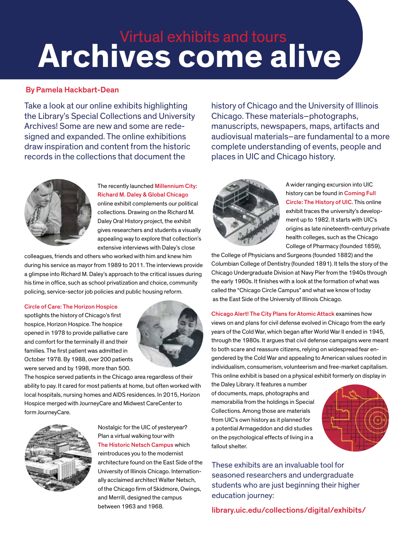# **Archives come alive**  Virtual exhibits and tours

### By Pamela Hackbart-Dean

the Library's Special Collections and University<br>Archives! Some are new and some are rede-Take a look at our online exhibits highlighting signed and expanded. The online exhibitions draw inspiration and content from the historic records in the collections that document the

history of Chicago and the University of Illinois Chicago. These materials–photographs, manuscripts, newspapers, maps, artifacts and audiovisual materials–are fundamental to a more complete understanding of events, people and places in UIC and Chicago history.



The recently launched Millennium City: Richard M. Daley & Global Chicago online exhibit complements our political collections. Drawing on the Richard M. Daley Oral History project, the exhibit gives researchers and students a visually appealing way to explore that collection's extensive interviews with Daley's close

colleagues, friends and others who worked with him and knew him during his service as mayor from 1989 to 2011. The interviews provide a glimpse into Richard M. Daley's approach to the critical issues during his time in office, such as school privatization and choice, community policing, service-sector job policies and public housing reform.

### Circle of Care: The Horizon Hospice

 and comfort for the terminally ill and their spotlights the history of Chicago's first hospice, Horizon Hospice. The hospice opened in 1978 to provide palliative care families. The first patient was admitted in October 1978. By 1988, over 200 patients were served and by 1998, more than 500.



Ì. The hospice served patients in the Chicago area regardless of their ability to pay. It cared for most patients at home, but often worked with local hospitals, nursing homes and AIDS residences. In 2015, Horizon Hospice merged with JourneyCare and Midwest CareCenter to form JourneyCare.



 Nostalgic for the UIC of yesteryear? j Plan a virtual walking tour with The Historic Netsch Campus which reintroduces you to the modernist architecture found on the East Side of the University of Illinois Chicago. Internationally acclaimed architect Walter Netsch, of the Chicago firm of Skidmore, Owings, and Merrill, designed the campus



A wider ranging excursion into UIC history can be found in Coming Full Circle: The History of UIC. This online exhibit traces the university's development up to 1982. It starts with UIC's origins as late nineteenth-century private health colleges, such as the Chicago College of Pharmacy (founded 1859),

i. the College of Physicians and Surgeons (founded 1882) and the Columbian College of Dentistry (founded 1891). It tells the story of the Chicago Undergraduate Division at Navy Pier from the 1940s through the early 1960s. It finishes with a look at the formation of what was called the "Chicago Circle Campus" and what we know of today as the East Side of the University of Illinois Chicago.

Chicago Alert! The City Plans for Atomic Attack examines how views on and plans for civil defense evolved in Chicago from the early years of the Cold War, which began after World War II ended in 1945, through the 1980s. It argues that civil defense campaigns were meant to both scare and reassure citizens, relying on widespread fear engendered by the Cold War and appealing to American values rooted in individualism, consumerism, volunteerism and free-market capitalism. This online exhibit is based on a physical exhibit formerly on display in

the Daley Library. It features a number of documents, maps, photographs and memorabilia from the holdings in Special Collections. Among those are materials from UIC's own history as it planned for a potential Armageddon and did studies on the psychological effects of living in a fallout shelter.



students who are just beginning their higher<br>education journey: These exhibits are an invaluable tool for seasoned researchers and undergraduate

between 1963 and 1968.<br>[library.uic.edu/collections/digital/exhibits/](https://library.uic.edu/collections/digital/exhibits)